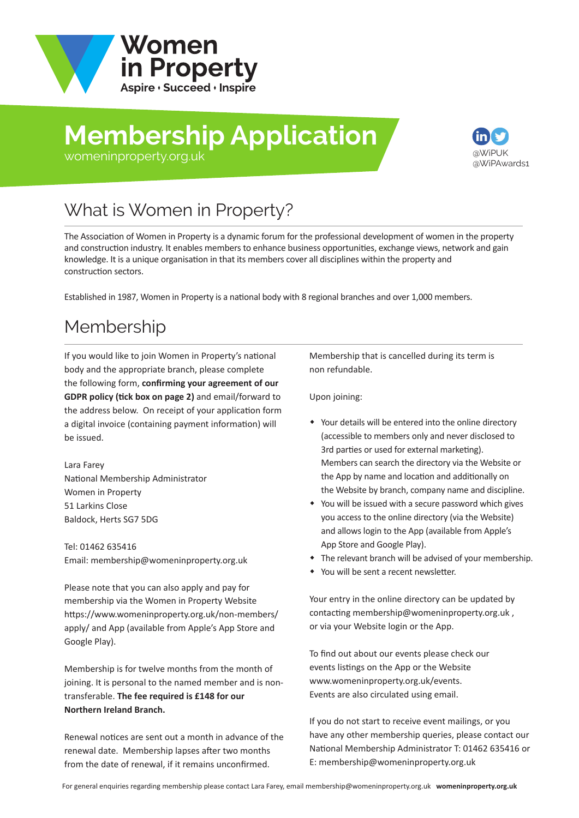

# **Membership Application**



#### [womeninproperty.org.uk](www.womeninproperty.org.uk)

# What is Women in Property?

The Association of Women in Property is a dynamic forum for the professional development of women in the property and construction industry. It enables members to enhance business opportunities, exchange views, network and gain knowledge. It is a unique organisation in that its members cover all disciplines within the property and construction sectors.

Established in 1987, Women in Property is a national body with 8 regional branches and over 1,000 members.

## Membership

If you would like to join Women in Property's national body and the appropriate branch, please complete the following form, **confirming your agreement of our GDPR policy (tick box on page 2)** and email/forward to the address below. On receipt of your application form a digital invoice (containing payment information) will be issued.

Lara Farey National Membership Administrator Women in Property 51 Larkins Close Baldock, Herts SG7 5DG

Tel: 01462 635416 Email: membership@womeninproperty.org.uk

Please note that you can also apply and pay for membership via the Women in Property Website [https://www.womeninproperty.org.uk/non-members](www.womeninproperty.org.uk/non-members/apply.aspx)/ apply/ and App (available from Apple's App Store and Google Play).

Membership is for twelve months from the month of joining. It is personal to the named member and is nontransferable. **The fee required is £148 for our Northern Ireland Branch.**

Renewal notices are sent out a month in advance of the renewal date. Membership lapses after two months from the date of renewal, if it remains unconfirmed.

Membership that is cancelled during its term is non refundable.

Upon joining:

- Your details will be entered into the online directory (accessible to members only and never disclosed to 3rd parties or used for external marketing). Members can search the directory via the Website or the App by name and location and additionally on the Website by branch, company name and discipline.
- You will be issued with a secure password which gives you access to the online directory (via the Website) and allows login to the App (available from Apple's App Store and Google Play).
- The relevant branch will be advised of your membership.
- You will be sent a recent newsletter.

Your entry in the online directory can be updated by contacting membership@womeninproperty.org.uk , or via your Website login or the App.

To find out about our events please check our events listings on the App or the Website www.womeninproperty.org.uk/events. Events are also circulated using email.

If you do not start to receive event mailings, or you have any other membership queries, please contact our National Membership Adminis[trator T: 01462 635416 or](www.womeninproperty.org.uk)  E: membership@womeninproperty.org.uk